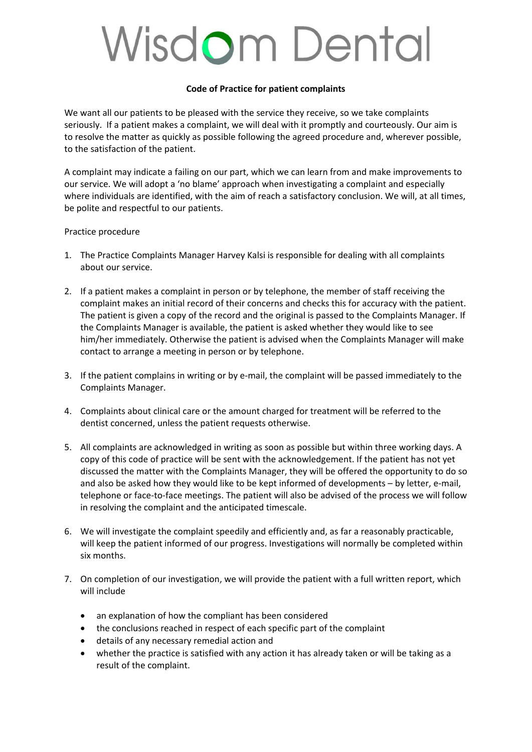## **Wisdom Dental**

## **Code of Practice for patient complaints**

We want all our patients to be pleased with the service they receive, so we take complaints seriously. If a patient makes a complaint, we will deal with it promptly and courteously. Our aim is to resolve the matter as quickly as possible following the agreed procedure and, wherever possible, to the satisfaction of the patient.

A complaint may indicate a failing on our part, which we can learn from and make improvements to our service. We will adopt a 'no blame' approach when investigating a complaint and especially where individuals are identified, with the aim of reach a satisfactory conclusion. We will, at all times, be polite and respectful to our patients.

Practice procedure

- 1. The Practice Complaints Manager Harvey Kalsi is responsible for dealing with all complaints about our service.
- 2. If a patient makes a complaint in person or by telephone, the member of staff receiving the complaint makes an initial record of their concerns and checks this for accuracy with the patient. The patient is given a copy of the record and the original is passed to the Complaints Manager. If the Complaints Manager is available, the patient is asked whether they would like to see him/her immediately. Otherwise the patient is advised when the Complaints Manager will make contact to arrange a meeting in person or by telephone.
- 3. If the patient complains in writing or by e-mail, the complaint will be passed immediately to the Complaints Manager.
- 4. Complaints about clinical care or the amount charged for treatment will be referred to the dentist concerned, unless the patient requests otherwise.
- 5. All complaints are acknowledged in writing as soon as possible but within three working days. A copy of this code of practice will be sent with the acknowledgement. If the patient has not yet discussed the matter with the Complaints Manager, they will be offered the opportunity to do so and also be asked how they would like to be kept informed of developments – by letter, e-mail, telephone or face-to-face meetings. The patient will also be advised of the process we will follow in resolving the complaint and the anticipated timescale.
- 6. We will investigate the complaint speedily and efficiently and, as far a reasonably practicable, will keep the patient informed of our progress. Investigations will normally be completed within six months.
- 7. On completion of our investigation, we will provide the patient with a full written report, which will include
	- an explanation of how the compliant has been considered
	- the conclusions reached in respect of each specific part of the complaint
	- details of any necessary remedial action and
	- whether the practice is satisfied with any action it has already taken or will be taking as a result of the complaint.